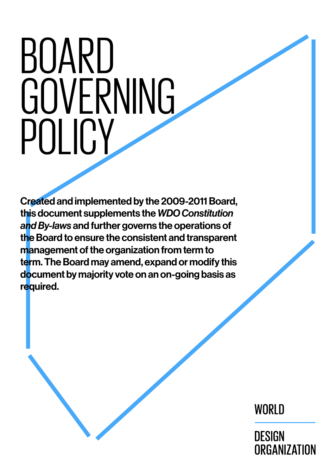# <span id="page-0-0"></span>BOARD **GOVERNING** POLICY

Created and implemented by the 2009-2011 Board, this document supplements the *WDO Constitution and By-laws* and further governs the operations of the Board to ensure the consistent and transparent management of the organization from term to term. The Board may amend, expand or modify this document by majority vote on an on-going basis as required.

WORLD

**DESIGN ORGANIZATION**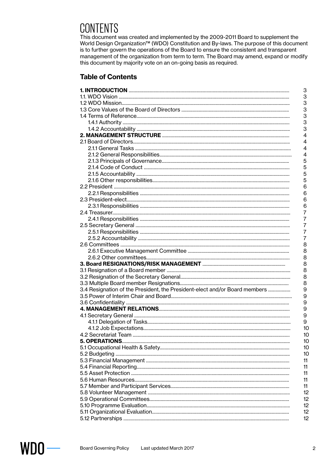# CONTENTS

This document was created and implemented by the 2009-2011 Board to supplement the World Design Organization<sup>™</sup> (WDO) Constitution and By-laws. The purpose of this document is to further govern the operations of the Board to ensure the consistent and transparent management of the organization from term to term. The Board may amend, expand or modify this document by majority vote on an on-going basis as required.

#### **Table of Contents**

|                                                                            | 3               |
|----------------------------------------------------------------------------|-----------------|
|                                                                            | 3               |
|                                                                            | 3               |
|                                                                            | 3               |
|                                                                            | 3               |
|                                                                            | 3               |
|                                                                            | 3               |
|                                                                            | 4               |
|                                                                            | 4               |
|                                                                            | 4               |
|                                                                            | 4               |
|                                                                            | 5               |
|                                                                            | 5               |
|                                                                            | 5               |
|                                                                            | 5               |
|                                                                            | 6               |
|                                                                            | 6               |
|                                                                            | 6               |
|                                                                            | 6               |
|                                                                            | 7               |
|                                                                            | 7               |
|                                                                            | 7               |
|                                                                            | 7               |
|                                                                            | 7               |
|                                                                            | 8               |
|                                                                            | 8               |
|                                                                            | 8               |
|                                                                            | 8               |
|                                                                            | 8               |
|                                                                            | 8               |
|                                                                            | 8               |
| 3.4 Resignation of the President, the President-elect and/or Board members | 9               |
|                                                                            | 9               |
|                                                                            | 9               |
|                                                                            | 9               |
|                                                                            | 9               |
|                                                                            | 9               |
|                                                                            | 10              |
|                                                                            | 10              |
|                                                                            | 10              |
|                                                                            | 10              |
|                                                                            | 10              |
|                                                                            | 11              |
|                                                                            | 11              |
|                                                                            | 11              |
|                                                                            | 11              |
|                                                                            | 11              |
|                                                                            | 12              |
|                                                                            | 12              |
|                                                                            | 12              |
|                                                                            | 12              |
|                                                                            | 12 <sup>2</sup> |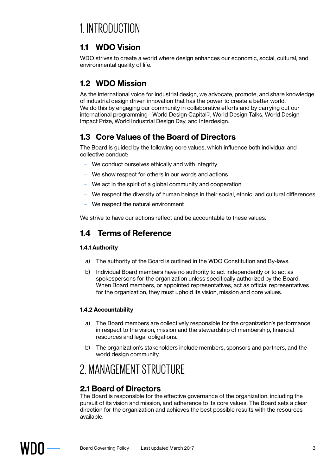# 1. INTRODUCTION

# **1.1 WDO Vision**

WDO strives to create a world where design enhances our economic, social, cultural, and environmental quality of life.

# **1.2 WDO Mission**

As the international voice for industrial design, we advocate, promote, and share knowledge of industrial design driven innovation that has the power to create a better world. We do this by engaging our community in collaborative efforts and by carrying out our international programming—World Design Capital®, World Design Talks, World Design Impact Prize, World Industrial Design Day, and Interdesign.

# **1.3 Core Values of the Board of Directors**

The Board is guided by the following core values, which influence both individual and collective conduct:

- We conduct ourselves ethically and with integrity
- We show respect for others in our words and actions
- We act in the spirit of a global community and cooperation
- We respect the diversity of human beings in their social, ethnic, and cultural differences
- We respect the natural environment

We strive to have our actions reflect and be accountable to these values.

# **1.4 Terms of Reference**

#### **1.4.1 Authority**

- a) The authority of the Board is outlined in the WDO Constitution and By-laws.
- b) Individual Board members have no authority to act independently or to act as spokespersons for the organization unless specifically authorized by the Board. When Board members, or appointed representatives, act as official representatives for the organization, they must uphold its vision, mission and core values.

#### **1.4.2 Accountability**

- a) The Board members are collectively responsible for the organization's performance in respect to the vision, mission and the stewardship of membership, financial resources and legal obligations.
- b) The organization's stakeholders include members, sponsors and partners, and the world design community.

# 2. MANAGEMENT STRUCTURE

# **2.1 Board of Directors**

The Board is responsible for the effective governance of the organization, including the pursuit of its vision and mission, and adherence to its core values. The Board sets a clear direction for the organization and achieves the best possible results with the resources available.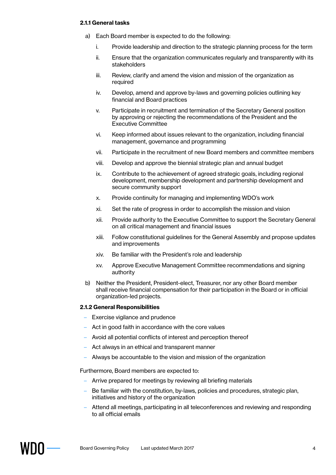#### **2.1.1 General tasks**

- a) Each Board member is expected to do the following:
	- i. Provide leadership and direction to the strategic planning process for the term
	- ii. Ensure that the organization communicates regularly and transparently with its stakeholders
	- iii. Review, clarify and amend the vision and mission of the organization as required
	- iv. Develop, amend and approve by-laws and governing policies outlining key financial and Board practices
	- v. Participate in recruitment and termination of the Secretary General position by approving or rejecting the recommendations of the President and the Executive Committee
	- vi. Keep informed about issues relevant to the organization, including financial management, governance and programming
	- vii. Participate in the recruitment of new Board members and committee members
	- viii. Develop and approve the biennial strategic plan and annual budget
	- ix. Contribute to the achievement of agreed strategic goals, including regional development, membership development and partnership development and secure community support
	- x. Provide continuity for managing and implementing WDO's work
	- xi. Set the rate of progress in order to accomplish the mission and vision
	- xii. Provide authority to the Executive Committee to support the Secretary General on all critical management and financial issues
	- xiii. Follow constitutional guidelines for the General Assembly and propose updates and improvements
	- xiv. Be familiar with the President's role and leadership
	- xv. Approve Executive Management Committee recommendations and signing authority
- b) Neither the President, President-elect, Treasurer, nor any other Board member shall receive financial compensation for their participation in the Board or in official organization-led projects.

#### **2.1.2 General Responsibilities**

- Exercise vigilance and prudence
- Act in good faith in accordance with the core values
- Avoid all potential conflicts of interest and perception thereof
- Act always in an ethical and transparent manner
- Always be accountable to the vision and mission of the organization

Furthermore, Board members are expected to:

- Arrive prepared for meetings by reviewing all briefing materials
- Be familiar with the constitution, by-laws, policies and procedures, strategic plan, initiatives and history of the organization
- Attend all meetings, participating in all teleconferences and reviewing and responding to all official emails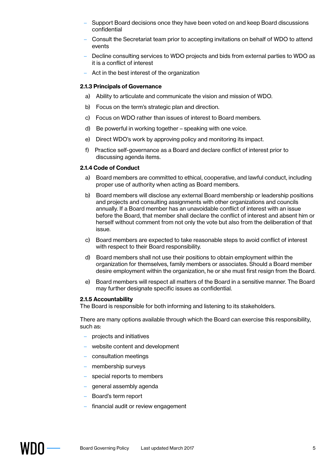- Support Board decisions once they have been voted on and keep Board discussions confidential
- Consult the Secretariat team prior to accepting invitations on behalf of WDO to attend events
- Decline consulting services to WDO projects and bids from external parties to WDO as it is a conflict of interest
- Act in the best interest of the organization

#### **2.1.3 Principals of Governance**

- a) Ability to articulate and communicate the vision and mission of WDO.
- b) Focus on the term's strategic plan and direction.
- c) Focus on WDO rather than issues of interest to Board members.
- d) Be powerful in working together speaking with one voice.
- e) Direct WDO's work by approving policy and monitoring its impact.
- f) Practice self-governance as a Board and declare conflict of interest prior to discussing agenda items.

#### **2.1.4 Code of Conduct**

- a) Board members are committed to ethical, cooperative, and lawful conduct, including proper use of authority when acting as Board members.
- b) Board members will disclose any external Board membership or leadership positions and projects and consulting assignments with other organizations and councils annually. If a Board member has an unavoidable conflict of interest with an issue before the Board, that member shall declare the conflict of interest and absent him or herself without comment from not only the vote but also from the deliberation of that issue.
- c) Board members are expected to take reasonable steps to avoid conflict of interest with respect to their Board responsibility.
- d) Board members shall not use their positions to obtain employment within the organization for themselves, family members or associates. Should a Board member desire employment within the organization, he or she must first resign from the Board.
- e) Board members will respect all matters of the Board in a sensitive manner. The Board may further designate specific issues as confidential.

#### **2.1.5 Accountability**

The Board is responsible for both informing and listening to its stakeholders.

There are many options available through which the Board can exercise this responsibility, such as:

- projects and initiatives
- website content and development
- consultation meetings
- membership surveys
- special reports to members
- general assembly agenda
- Board's term report
- financial audit or review engagement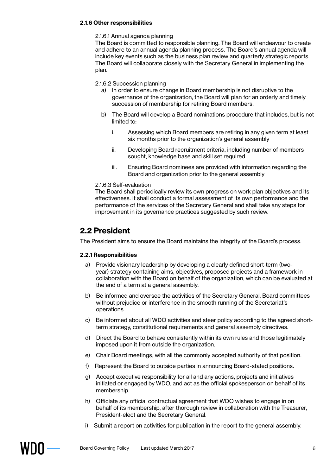#### **2.1.6 Other responsibilities**

#### 2.1.6.1 Annual agenda planning

The Board is committed to responsible planning. The Board will endeavour to create and adhere to an annual agenda planning process. The Board's annual agenda will include key events such as the business plan review and quarterly strategic reports. The Board will collaborate closely with the Secretary General in implementing the plan.

2.1.6.2 Succession planning

- a) In order to ensure change in Board membership is not disruptive to the governance of the organization, the Board will plan for an orderly and timely succession of membership for retiring Board members.
- b) The Board will develop a Board nominations procedure that includes, but is not limited to:
	- i. Assessing which Board members are retiring in any given term at least six months prior to the organization's general assembly
	- ii. Developing Board recruitment criteria, including number of members sought, knowledge base and skill set required
	- iii. Ensuring Board nominees are provided with information regarding the Board and organization prior to the general assembly

#### 2.1.6.3 Self-evaluation

The Board shall periodically review its own progress on work plan objectives and its effectiveness. It shall conduct a formal assessment of its own performance and the performance of the services of the Secretary General and shall take any steps for improvement in its governance practices suggested by such review.

#### **2.2 President**

The President aims to ensure the Board maintains the integrity of the Board's process.

#### **2.2.1 Responsibilities**

- a) Provide visionary leadership by developing a clearly defined short-term (twoyear) strategy containing aims, objectives, proposed projects and a framework in collaboration with the Board on behalf of the organization, which can be evaluated at the end of a term at a general assembly.
- b) Be informed and oversee the activities of the Secretary General, Board committees without prejudice or interference in the smooth running of the Secretariat's operations.
- c) Be informed about all WDO activities and steer policy according to the agreed shortterm strategy, constitutional requirements and general assembly directives.
- d) Direct the Board to behave consistently within its own rules and those legitimately imposed upon it from outside the organization.
- e) Chair Board meetings, with all the commonly accepted authority of that position.
- f) Represent the Board to outside parties in announcing Board-stated positions.
- g) Accept executive responsibility for all and any actions, projects and initiatives initiated or engaged by WDO, and act as the official spokesperson on behalf of its membership.
- h) Officiate any official contractual agreement that WDO wishes to engage in on behalf of its membership, after thorough review in collaboration with the Treasurer, President-elect and the Secretary General.
- i) Submit a report on activities for publication in the report to the general assembly.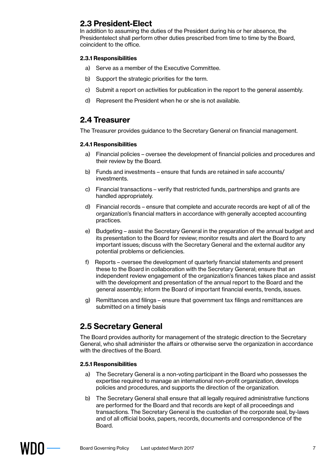# **2.3 President-Elect**

In addition to assuming the duties of the President during his or her absence, the Presidentelect shall perform other duties prescribed from time to time by the Board, coincident to the office.

#### **2.3.1 Responsibilities**

- a) Serve as a member of the Executive Committee.
- b) Support the strategic priorities for the term.
- c) Submit a report on activities for publication in the report to the general assembly.
- d) Represent the President when he or she is not available.

## **2.4 Treasurer**

The Treasurer provides guidance to the Secretary General on financial management.

#### **2.4.1 Responsibilities**

- a) Financial policies oversee the development of financial policies and procedures and their review by the Board.
- b) Funds and investments ensure that funds are retained in safe accounts/ investments.
- c) Financial transactions verify that restricted funds, partnerships and grants are handled appropriately.
- d) Financial records ensure that complete and accurate records are kept of all of the organization's financial matters in accordance with generally accepted accounting practices.
- e) Budgeting assist the Secretary General in the preparation of the annual budget and its presentation to the Board for review; monitor results and alert the Board to any important issues; discuss with the Secretary General and the external auditor any potential problems or deficiencies.
- f) Reports oversee the development of quarterly financial statements and present these to the Board in collaboration with the Secretary General; ensure that an independent review engagement of the organization's finances takes place and assist with the development and presentation of the annual report to the Board and the general assembly; inform the Board of important financial events, trends, issues.
- g) Remittances and filings ensure that government tax filings and remittances are submitted on a timely basis

# **2.5 Secretary General**

The Board provides authority for management of the strategic direction to the Secretary General, who shall administer the affairs or otherwise serve the organization in accordance with the directives of the Board.

#### **2.5.1 Responsibilities**

- a) The Secretary General is a non-voting participant in the Board who possesses the expertise required to manage an international non-profit organization, develops policies and procedures, and supports the direction of the organization.
- b) The Secretary General shall ensure that all legally required administrative functions are performed for the Board and that records are kept of all proceedings and transactions. The Secretary General is the custodian of the corporate seal, by-laws and of all official books, papers, records, documents and correspondence of the Board.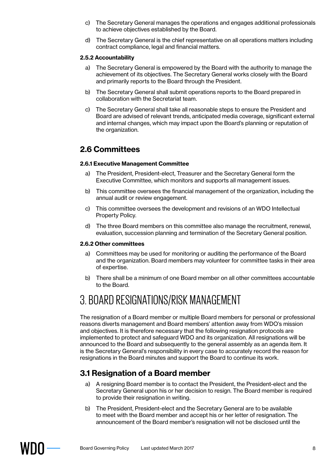- c) The Secretary General manages the operations and engages additional professionals to achieve objectives established by the Board.
- d) The Secretary General is the chief representative on all operations matters including contract compliance, legal and financial matters.

#### **2.5.2 Accountability**

- a) The Secretary General is empowered by the Board with the authority to manage the achievement of its objectives. The Secretary General works closely with the Board and primarily reports to the Board through the President.
- b) The Secretary General shall submit operations reports to the Board prepared in collaboration with the Secretariat team.
- c) The Secretary General shall take all reasonable steps to ensure the President and Board are advised of relevant trends, anticipated media coverage, significant external and internal changes, which may impact upon the Board's planning or reputation of the organization.

# **2.6 Committees**

#### **2.6.1 Executive Management Committee**

- a) The President, President-elect, Treasurer and the Secretary General form the Executive Committee, which monitors and supports all management issues.
- b) This committee oversees the financial management of the organization, including the annual audit or review engagement.
- c) This committee oversees the development and revisions of an WDO Intellectual Property Policy.
- d) The three Board members on this committee also manage the recruitment, renewal, evaluation, succession planning and termination of the Secretary General position.

#### **2.6.2 Other committees**

- a) Committees may be used for monitoring or auditing the performance of the Board and the organization. Board members may volunteer for committee tasks in their area of expertise.
- b) There shall be a minimum of one Board member on all other committees accountable to the Board.

# 3. BOARD RESIGNATIONS/RISK MANAGEMENT

The resignation of a Board member or multiple Board members for personal or professional reasons diverts management and Board members' attention away from WDO's mission and objectives. It is therefore necessary that the following resignation protocols are implemented to protect and safeguard WDO and its organization. All resignations will be announced to the Board and subsequently to the general assembly as an agenda item. It is the Secretary General's responsibility in every case to accurately record the reason for resignations in the Board minutes and support the Board to continue its work.

# **3.1 Resignation of a Board member**

- a) A resigning Board member is to contact the President, the President-elect and the Secretary General upon his or her decision to resign. The Board member is required to provide their resignation in writing.
- b) The President, President-elect and the Secretary General are to be available to meet with the Board member and accept his or her letter of resignation. The announcement of the Board member's resignation will not be disclosed until the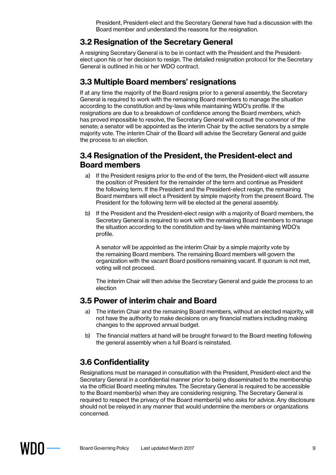President, President-elect and the Secretary General have had a discussion with the Board member and understand the reasons for the resignation.

# **3.2 Resignation of the Secretary General**

A resigning Secretary General is to be in contact with the President and the Presidentelect upon his or her decision to resign. The detailed resignation protocol for the Secretary General is outlined in his or her WDO contract.

# **3.3 Multiple Board members' resignations**

If at any time the majority of the Board resigns prior to a general assembly, the Secretary General is required to work with the remaining Board members to manage the situation according to the constitution and by-laws while maintaining WDO's profile. If the resignations are due to a breakdown of confidence among the Board members, which has proved impossible to resolve, the Secretary General will consult the convenor of the senate; a senator will be appointed as the interim Chair by the active senators by a simple majority vote. The interim Chair of the Board will advise the Secretary General and guide the process to an election.

# **3.4 Resignation of the President, the President-elect and Board members**

- a) If the President resigns prior to the end of the term, the President-elect will assume the position of President for the remainder of the term and continue as President the following term. If the President and the President-elect resign, the remaining Board members will elect a President by simple majority from the present Board. The President for the following term will be elected at the general assembly.
- b) If the President and the President-elect resign with a majority of Board members, the Secretary General is required to work with the remaining Board members to manage the situation according to the constitution and by-laws while maintaining WDO's profile.

A senator will be appointed as the interim Chair by a simple majority vote by the remaining Board members. The remaining Board members will govern the organization with the vacant Board positions remaining vacant. If quorum is not met, voting will not proceed.

The interim Chair will then advise the Secretary General and guide the process to an election

# **3.5 Power of interim chair and Board**

- a) The interim Chair and the remaining Board members, without an elected majority, will not have the authority to make decisions on any financial matters including making changes to the approved annual budget.
- b) The financial matters at hand will be brought forward to the Board meeting following the general assembly when a full Board is reinstated.

# **3.6 Confidentiality**

Resignations must be managed in consultation with the President, President-elect and the Secretary General in a confidential manner prior to being disseminated to the membership via the official Board meeting minutes. The Secretary General is required to be accessible to the Board member(s) when they are considering resigning. The Secretary General is required to respect the privacy of the Board member(s) who asks for advice. Any disclosure should not be relayed in any manner that would undermine the members or organizations concerned.

WHII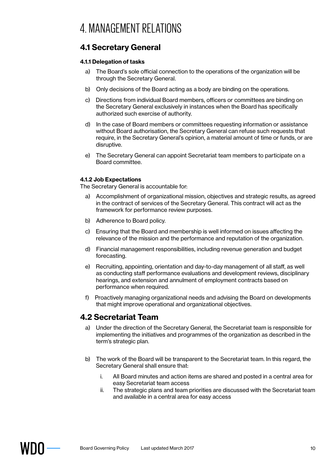# **4.1 Secretary General**

#### **4.1.1 Delegation of tasks**

- a) The Board's sole official connection to the operations of the organization will be through the Secretary General.
- b) Only decisions of the Board acting as a body are binding on the operations.
- c) Directions from individual Board members, officers or committees are binding on the Secretary General exclusively in instances when the Board has specifically authorized such exercise of authority.
- d) In the case of Board members or committees requesting information or assistance without Board authorisation, the Secretary General can refuse such requests that require, in the Secretary General's opinion, a material amount of time or funds, or are disruptive.
- e) The Secretary General can appoint Secretariat team members to participate on a Board committee.

#### **4.1.2 Job Expectations**

The Secretary General is accountable for:

- a) Accomplishment of organizational mission, objectives and strategic results, as agreed in the contract of services of the Secretary General. This contract will act as the framework for performance review purposes.
- b) Adherence to Board policy.
- c) Ensuring that the Board and membership is well informed on issues affecting the relevance of the mission and the performance and reputation of the organization.
- d) Financial management responsibilities, including revenue generation and budget forecasting.
- e) Recruiting, appointing, orientation and day-to-day management of all staff, as well as conducting staff performance evaluations and development reviews, disciplinary hearings, and extension and annulment of employment contracts based on performance when required.
- f) Proactively managing organizational needs and advising the Board on developments that might improve operational and organizational objectives.

## **4.2 Secretariat Team**

- a) Under the direction of the Secretary General, the Secretariat team is responsible for implementing the initiatives and programmes of the organization as described in the term's strategic plan.
- b) The work of the Board will be transparent to the Secretariat team. In this regard, the Secretary General shall ensure that:
	- i. All Board minutes and action items are shared and posted in a central area for easy Secretariat team access
	- ii. The strategic plans and team priorities are discussed with the Secretariat team and available in a central area for easy access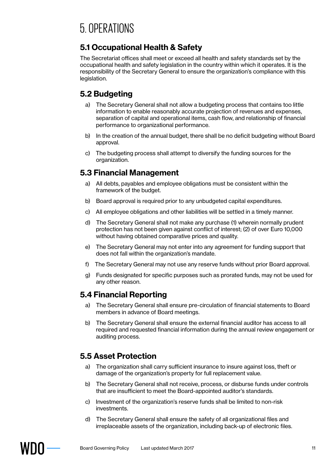# **5.1 Occupational Health & Safety**

The Secretariat offices shall meet or exceed all health and safety standards set by the occupational health and safety legislation in the country within which it operates. It is the responsibility of the Secretary General to ensure the organization's compliance with this legislation.

# **5.2 Budgeting**

- a) The Secretary General shall not allow a budgeting process that contains too little information to enable reasonably accurate projection of revenues and expenses, separation of capital and operational items, cash flow, and relationship of financial performance to organizational performance.
- b) In the creation of the annual budget, there shall be no deficit budgeting without Board approval.
- c) The budgeting process shall attempt to diversify the funding sources for the organization.

# **5.3 Financial Management**

- a) All debts, payables and employee obligations must be consistent within the framework of the budget.
- b) Board approval is required prior to any unbudgeted capital expenditures.
- c) All employee obligations and other liabilities will be settled in a timely manner.
- d) The Secretary General shall not make any purchase (1) wherein normally prudent protection has not been given against conflict of interest; (2) of over Euro 10,000 without having obtained comparative prices and quality.
- e) The Secretary General may not enter into any agreement for funding support that does not fall within the organization's mandate.
- f) The Secretary General may not use any reserve funds without prior Board approval.
- g) Funds designated for specific purposes such as prorated funds, may not be used for any other reason.

# **5.4 Financial Reporting**

- a) The Secretary General shall ensure pre-circulation of financial statements to Board members in advance of Board meetings.
- b) The Secretary General shall ensure the external financial auditor has access to all required and requested financial information during the annual review engagement or auditing process.

# **5.5 Asset Protection**

- a) The organization shall carry sufficient insurance to insure against loss, theft or damage of the organization's property for full replacement value.
- b) The Secretary General shall not receive, process, or disburse funds under controls that are insufficient to meet the Board-appointed auditor's standards.
- c) Investment of the organization's reserve funds shall be limited to non-risk investments.
- d) The Secretary General shall ensure the safety of all organizational files and irreplaceable assets of the organization, including back-up of electronic files.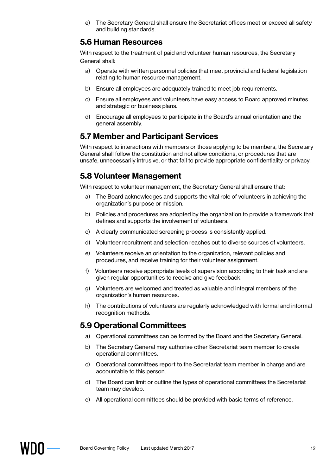e) The Secretary General shall ensure the Secretariat offices meet or exceed all safety and building standards.

## **5.6 Human Resources**

With respect to the treatment of paid and volunteer human resources, the Secretary General shall:

- a) Operate with written personnel policies that meet provincial and federal legislation relating to human resource management.
- b) Ensure all employees are adequately trained to meet job requirements.
- c) Ensure all employees and volunteers have easy access to Board approved minutes and strategic or business plans.
- d) Encourage all employees to participate in the Board's annual orientation and the general assembly.

# **5.7 Member and Participant Services**

With respect to interactions with members or those applying to be members, the Secretary General shall follow the constitution and not allow conditions, or procedures that are unsafe, unnecessarily intrusive, or that fail to provide appropriate confidentiality or privacy.

# **5.8 Volunteer Management**

With respect to volunteer management, the Secretary General shall ensure that:

- a) The Board acknowledges and supports the vital role of volunteers in achieving the organization's purpose or mission.
- b) Policies and procedures are adopted by the organization to provide a framework that defines and supports the involvement of volunteers.
- c) A clearly communicated screening process is consistently applied.
- d) Volunteer recruitment and selection reaches out to diverse sources of volunteers.
- e) Volunteers receive an orientation to the organization, relevant policies and procedures, and receive training for their volunteer assignment.
- f) Volunteers receive appropriate levels of supervision according to their task and are given regular opportunities to receive and give feedback.
- g) Volunteers are welcomed and treated as valuable and integral members of the organization's human resources.
- h) The contributions of volunteers are regularly acknowledged with formal and informal recognition methods.

# **5.9 Operational Committees**

- a) Operational committees can be formed by the Board and the Secretary General.
- b) The Secretary General may authorise other Secretariat team member to create operational committees.
- c) Operational committees report to the Secretariat team member in charge and are accountable to this person.
- d) The Board can limit or outline the types of operational committees the Secretariat team may develop.
- e) All operational committees should be provided with basic terms of reference.